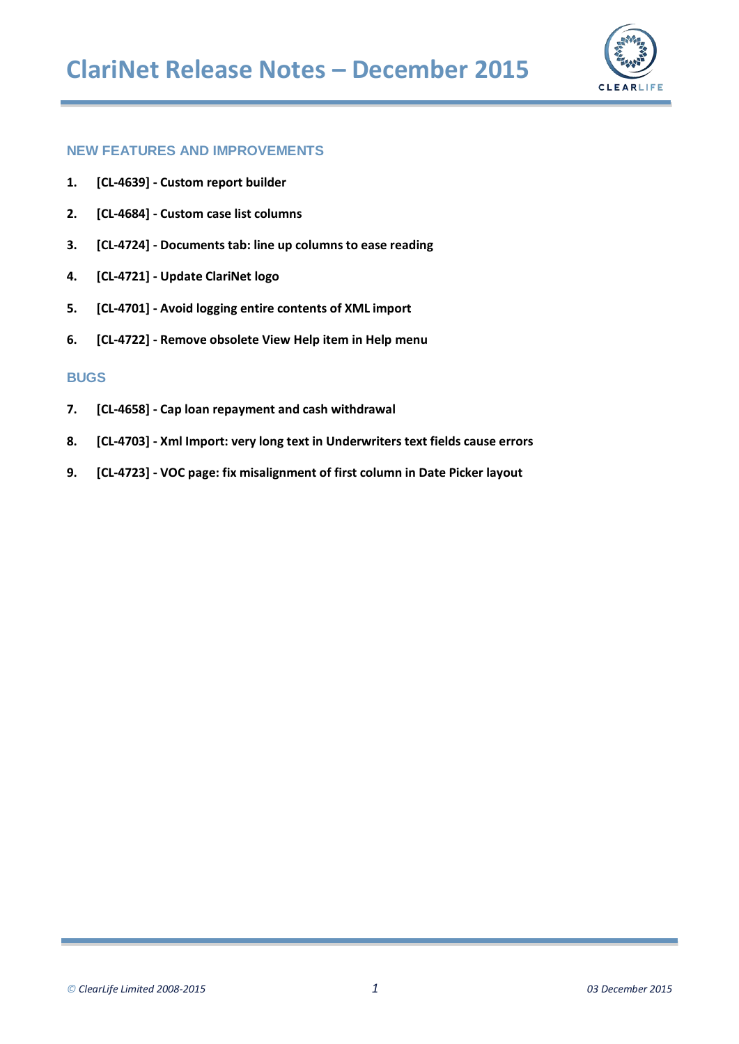

### **[NEW FEATURES AND IMPROVEMENTS](#page-1-0)**

- **1. [CL-4639] - [Custom report builder](#page-1-1)**
- **2. [CL-4684] - [Custom case list columns](#page-3-0)**
- **3. [CL-4724] - [Documents tab: line up columns to ease reading](#page-5-0)**
- **4. [CL-4721] - [Update ClariNet logo](#page-5-1)**
- **5. [CL-4701] - [Avoid logging entire contents of XML import](#page-5-2)**
- **6. [CL-4722] - [Remove obsolete View Help item in Help menu](#page-5-3)**

### **[BUGS](#page-6-0)**

- **7. [CL-4658] - [Cap loan repayment and cash withdrawal](#page-6-1)**
- **8. [CL-4703] - [Xml Import: very long text in Underwriters text fields cause errors](#page-6-2)**
- **9. [CL-4723] - [VOC page: fix misalignment of first column in Date Picker layout](#page-6-3)**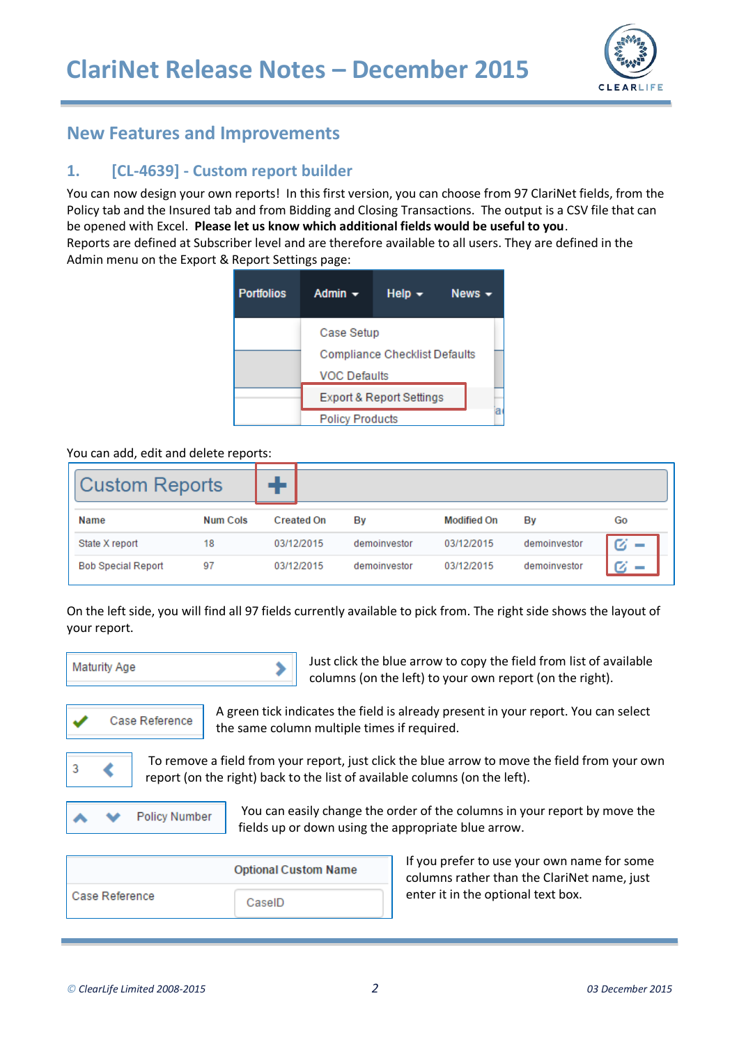

# <span id="page-1-0"></span>**New Features and Improvements**

## <span id="page-1-1"></span>**1. [CL-4639] - Custom report builder**

You can now design your own reports! In this first version, you can choose from 97 ClariNet fields, from the Policy tab and the Insured tab and from Bidding and Closing Transactions. The output is a CSV file that can be opened with Excel. **Please let us know which additional fields would be useful to you**. Reports are defined at Subscriber level and are therefore available to all users. They are defined in the Admin menu on the Export & Report Settings page:



### You can add, edit and delete reports:

| <b>Custom Reports</b>     |                 |                   |              |                    |              |    |
|---------------------------|-----------------|-------------------|--------------|--------------------|--------------|----|
| <b>Name</b>               | <b>Num Cols</b> | <b>Created On</b> | By           | <b>Modified On</b> | By           | Go |
| State X report            | 18              | 03/12/2015        | demoinvestor | 03/12/2015         | demoinvestor | Ø  |
| <b>Bob Special Report</b> | 97              | 03/12/2015        | demoinvestor | 03/12/2015         | demoinvestor |    |

On the left side, you will find all 97 fields currently available to pick from. The right side shows the layout of your report.



Just click the blue arrow to copy the field from list of available columns (on the left) to your own report (on the right).



A green tick indicates the field is already present in your report. You can select the same column multiple times if required.



To remove a field from your report, just click the blue arrow to move the field from your own report (on the right) back to the list of available columns (on the left).



You can easily change the order of the columns in your report by move the fields up or down using the appropriate blue arrow.

|                | <b>Optional Custom Name</b> |
|----------------|-----------------------------|
| Case Reference | CaselD                      |

If you prefer to use your own name for some columns rather than the ClariNet name, just enter it in the optional text box.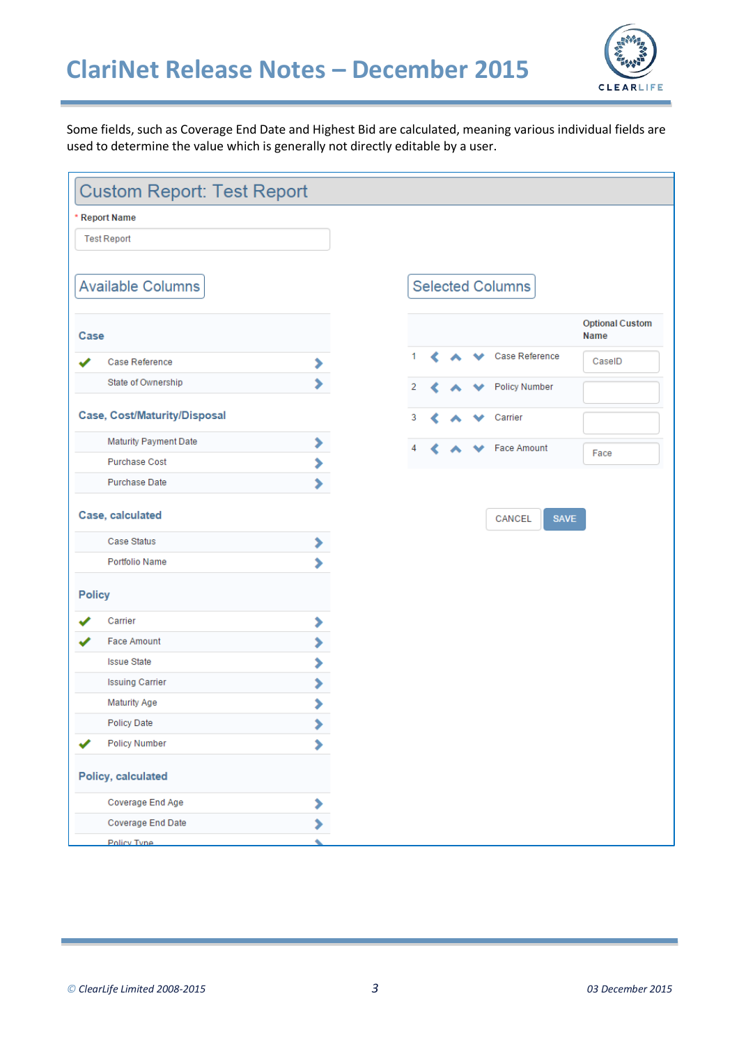# **ClariNet Release Notes – December 2015**



Some fields, such as Coverage End Date and Highest Bid are calculated, meaning various individual fields are used to determine the value which is generally not directly editable by a user.

| <b>Custom Report: Test Report</b>                    |         |
|------------------------------------------------------|---------|
| <b>Report Name</b>                                   |         |
| <b>Test Report</b>                                   |         |
|                                                      |         |
| <b>Available Columns</b>                             |         |
|                                                      |         |
| Case                                                 |         |
| Case Reference                                       | ,       |
| State of Ownership                                   | Ŷ.      |
| Case, Cost/Maturity/Disposal                         |         |
|                                                      |         |
| <b>Maturity Payment Date</b><br><b>Purchase Cost</b> | ,       |
| <b>Purchase Date</b>                                 | ×<br>Ŷ. |
| Case, calculated                                     |         |
| Case Status                                          | ⋟       |
| Portfolio Name                                       | S       |
| <b>Policy</b>                                        |         |
| Carrier                                              | ⋟       |
| <b>Face Amount</b>                                   | X       |
| <b>Issue State</b>                                   | ×       |
| <b>Issuing Carrier</b>                               | ×       |
| <b>Maturity Age</b>                                  | ⋟       |
| <b>Policy Date</b>                                   |         |
| <b>Policy Number</b>                                 | ⋟       |
| Policy, calculated                                   |         |
| Coverage End Age                                     | ,       |
| Coverage End Date                                    |         |
| Policy Type                                          |         |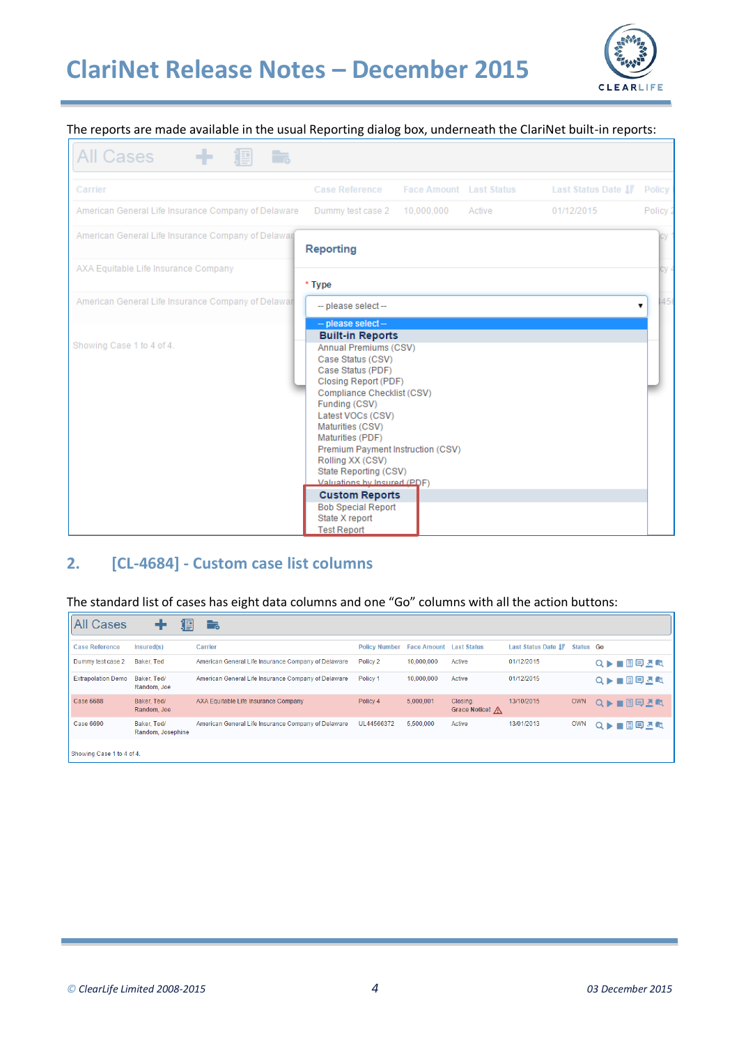

### The reports are made available in the usual Reporting dialog box, underneath the ClariNet built-in reports:

| <b>All Cases</b><br>h,                              |                                                                                                                                                                                                                                                                                                                                                                                                                                                                   |                                |        |                    |               |
|-----------------------------------------------------|-------------------------------------------------------------------------------------------------------------------------------------------------------------------------------------------------------------------------------------------------------------------------------------------------------------------------------------------------------------------------------------------------------------------------------------------------------------------|--------------------------------|--------|--------------------|---------------|
| Carrier                                             | <b>Case Reference</b>                                                                                                                                                                                                                                                                                                                                                                                                                                             | <b>Face Amount</b> Last Status |        | Last Status Date I | <b>Policy</b> |
| American General Life Insurance Company of Delaware | Dummy test case 2                                                                                                                                                                                                                                                                                                                                                                                                                                                 | 10,000,000                     | Active | 01/12/2015         | Policy        |
| American General Life Insurance Company of Delawar  | <b>Reporting</b>                                                                                                                                                                                                                                                                                                                                                                                                                                                  |                                |        |                    |               |
| AXA Equitable Life Insurance Company                | * Type                                                                                                                                                                                                                                                                                                                                                                                                                                                            |                                |        |                    |               |
| American General Life Insurance Company of Delawar  | -- please select --                                                                                                                                                                                                                                                                                                                                                                                                                                               |                                |        |                    | 456<br>7      |
| Showing Case 1 to 4 of 4.                           | - please select-<br><b>Built-in Reports</b><br>Annual Premiums (CSV)<br>Case Status (CSV)<br>Case Status (PDF)<br>Closing Report (PDF)<br>Compliance Checklist (CSV)<br>Funding (CSV)<br>Latest VOCs (CSV)<br>Maturities (CSV)<br>Maturities (PDF)<br>Premium Payment Instruction (CSV)<br>Rolling XX (CSV)<br>State Reporting (CSV)<br>Valuations by Insured (PDF)<br><b>Custom Reports</b><br><b>Bob Special Report</b><br>State X report<br><b>Test Report</b> |                                |        |                    |               |

### <span id="page-3-0"></span>**2. [CL-4684] - Custom case list columns**

#### The standard list of cases has eight data columns and one "Go" columns with all the action buttons:

| All Cases                 | 阊                                | 一。                                                  |                                              |            |                           |                     |            |               |
|---------------------------|----------------------------------|-----------------------------------------------------|----------------------------------------------|------------|---------------------------|---------------------|------------|---------------|
| Case Reference            | Insured(s)                       | Carrier                                             | <b>Policy Number</b> Face Amount Last Status |            |                           | Last Status Date IF | Status Go  |               |
| Dummy test case 2         | Baker, Ted                       | American General Life Insurance Company of Delaware | Policy 2                                     | 10.000.000 | Active                    | 01/12/2015          |            | ■■甲基は<br>Q D- |
| <b>Extrapolation Demo</b> | Baker, Ted/<br>Random, Joe       | American General Life Insurance Company of Delaware | Policy 1                                     | 10,000,000 | Active                    | 01/12/2015          |            | Q▶■圓貝基版       |
| Case 6688                 | Baker, Ted/<br>Random, Joe       | AXA Equitable Life Insurance Company                | Policy 4                                     | 5.000.001  | Closing.<br>Grace Notice! | 13/10/2015          | <b>OWN</b> | Q▶■国国丞嘱       |
| Case 6690                 | Baker, Ted/<br>Random, Josephine | American General Life Insurance Company of Delaware | UL44566372                                   | 5,500,000  | Active                    | 13/01/2013          | <b>OWN</b> | Q▶■圃国丞的       |
| Showing Case 1 to 4 of 4. |                                  |                                                     |                                              |            |                           |                     |            |               |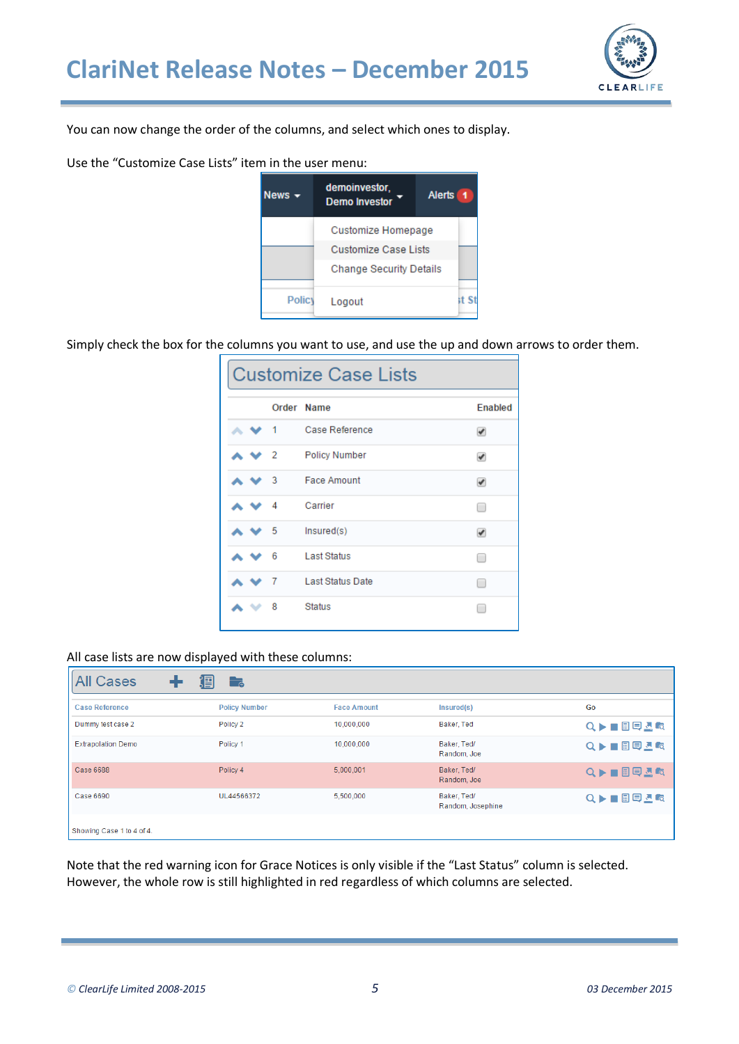

You can now change the order of the columns, and select which ones to display.

Use the "Customize Case Lists" item in the user menu:



Simply check the box for the columns you want to use, and use the up and down arrows to order them.

|  |   | <b>Customize Case Lists</b> |                |
|--|---|-----------------------------|----------------|
|  |   | Order Name                  | <b>Enabled</b> |
|  |   | Case Reference              | V              |
|  | 2 | <b>Policy Number</b>        | ✔              |
|  | 3 | <b>Face Amount</b>          | ✔              |
|  | 4 | Carrier                     | □              |
|  | 5 | Insured(s)                  | ✔              |
|  | 6 | <b>Last Status</b>          | $\Box$         |
|  | 7 | <b>Last Status Date</b>     | □              |
|  | 8 | <b>Status</b>               | г              |

#### All case lists are now displayed with these columns:

| <b>All Cases</b>          | 淐<br>$\overline{\phantom{a}}$ |                    |                                  |         |
|---------------------------|-------------------------------|--------------------|----------------------------------|---------|
| <b>Case Reference</b>     | <b>Policy Number</b>          | <b>Face Amount</b> | Insured(s)                       | Go      |
| Dummy test case 2         | Policy <sub>2</sub>           | 10,000,000         | Baker, Ted                       | Q▶■圖甲基版 |
| <b>Extrapolation Demo</b> | Policy 1                      | 10,000,000         | Baker, Ted/<br>Random, Joe       | Q▶■■甲基吨 |
| Case 6688                 | Policy 4                      | 5.000.001          | Baker, Ted/<br>Random, Joe       | Q▶■圖貝圖嘎 |
| Case 6690                 | UL44566372                    | 5,500,000          | Baker, Ted/<br>Random, Josephine | Q▶■■甲基吨 |
| Showing Case 1 to 4 of 4. |                               |                    |                                  |         |

Note that the red warning icon for Grace Notices is only visible if the "Last Status" column is selected. However, the whole row is still highlighted in red regardless of which columns are selected.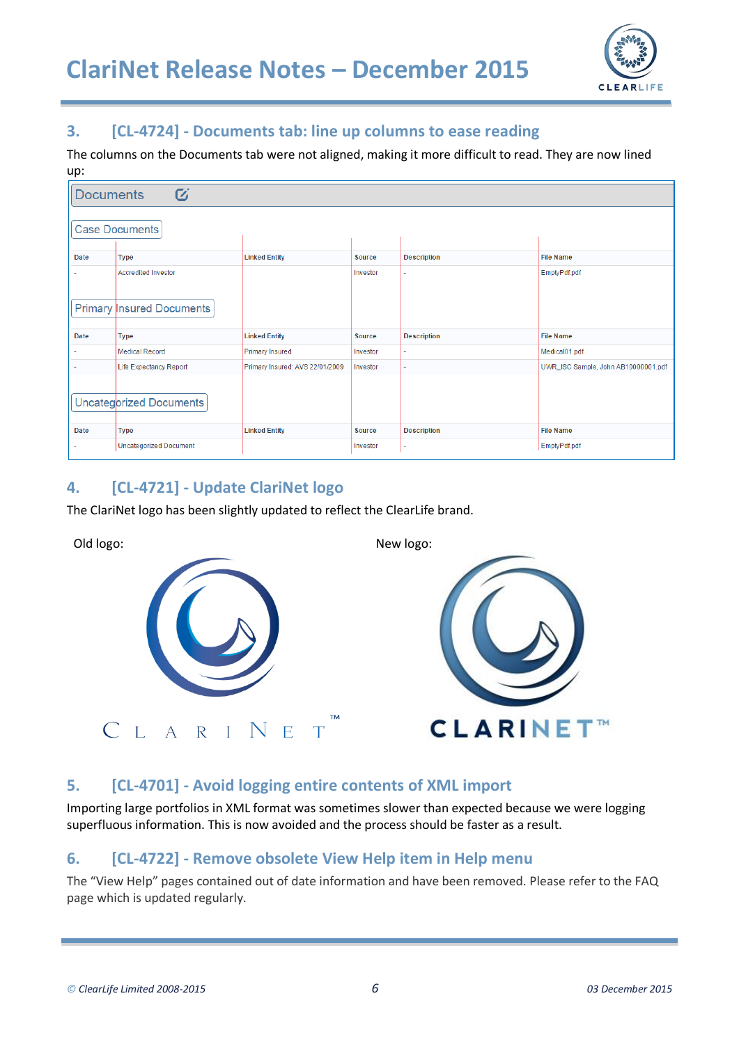

## <span id="page-5-0"></span>**3. [CL-4724] - Documents tab: line up columns to ease reading**

The columns on the Documents tab were not aligned, making it more difficult to read. They are now lined up:

| <b>Documents</b> | $\overline{G}$                                                 |                                 |               |                    |                                     |
|------------------|----------------------------------------------------------------|---------------------------------|---------------|--------------------|-------------------------------------|
|                  | <b>Case Documents</b>                                          |                                 |               |                    |                                     |
| <b>Date</b>      | <b>Type</b>                                                    | <b>Linked Entity</b>            | Source        | <b>Description</b> | <b>File Name</b>                    |
|                  | <b>Accredited Investor</b><br><b>Primary Insured Documents</b> |                                 | Investor      | ÷                  | EmptyPdf.pdf                        |
| <b>Date</b>      | <b>Type</b>                                                    | <b>Linked Entity</b>            | <b>Source</b> | <b>Description</b> | <b>File Name</b>                    |
|                  | <b>Medical Record</b>                                          | <b>Primary Insured</b>          | Investor      | ٠                  | Medical01.pdf                       |
|                  | <b>Life Expectancy Report</b>                                  | Primary Insured: AVS 22/01/2009 | Investor      |                    | UWR ISC Sample, John AB10000001.pdf |
|                  | Uncategorized Documents                                        |                                 |               |                    |                                     |
| <b>Date</b>      | <b>Type</b>                                                    | <b>Linked Entity</b>            | Source        | <b>Description</b> | <b>File Name</b>                    |
|                  | <b>Uncategorized Document</b>                                  |                                 | Investor      | ٠                  | EmptyPdf.pdf                        |

### <span id="page-5-1"></span>**4. [CL-4721] - Update ClariNet logo**

The ClariNet logo has been slightly updated to reflect the ClearLife brand.



# <span id="page-5-2"></span>**5. [CL-4701] - Avoid logging entire contents of XML import**

Importing large portfolios in XML format was sometimes slower than expected because we were logging superfluous information. This is now avoided and the process should be faster as a result.

### <span id="page-5-3"></span>**6. [CL-4722] - Remove obsolete View Help item in Help menu**

The "View Help" pages contained out of date information and have been removed. Please refer to the FAQ page which is updated regularly.